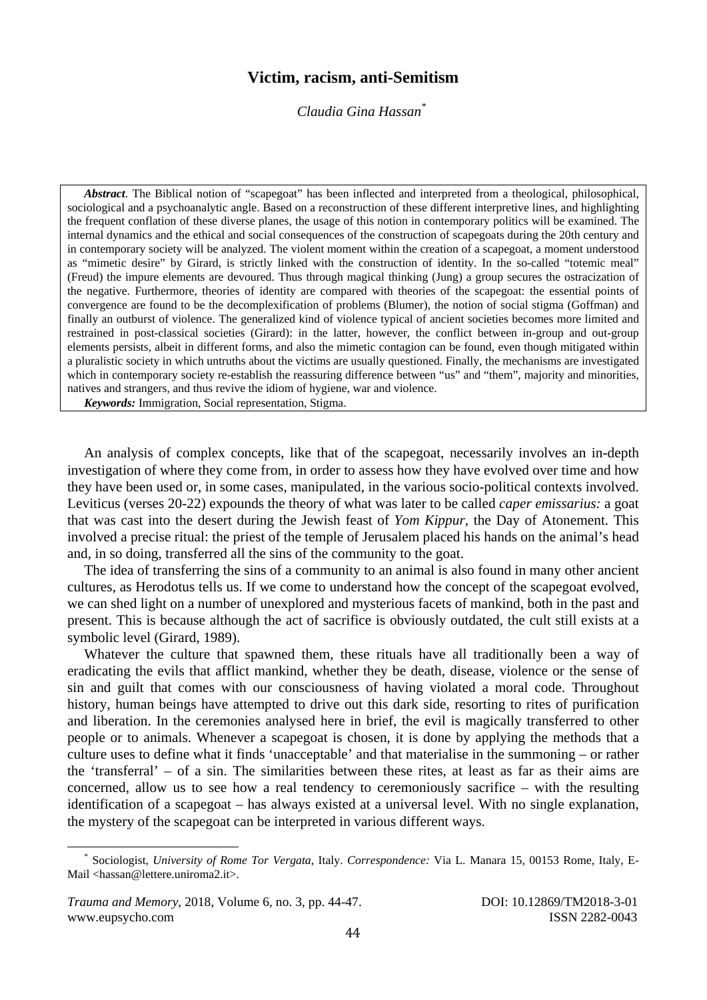## **Victim, racism, anti-Semitism**

*Claudia Gina Hassan\**

*Abstract*. The Biblical notion of "scapegoat" has been inflected and interpreted from a theological, philosophical, sociological and a psychoanalytic angle. Based on a reconstruction of these different interpretive lines, and highlighting the frequent conflation of these diverse planes, the usage of this notion in contemporary politics will be examined. The internal dynamics and the ethical and social consequences of the construction of scapegoats during the 20th century and in contemporary society will be analyzed. The violent moment within the creation of a scapegoat, a moment understood as "mimetic desire" by Girard, is strictly linked with the construction of identity. In the so-called "totemic meal" (Freud) the impure elements are devoured. Thus through magical thinking (Jung) a group secures the ostracization of the negative. Furthermore, theories of identity are compared with theories of the scapegoat: the essential points of convergence are found to be the decomplexification of problems (Blumer), the notion of social stigma (Goffman) and finally an outburst of violence. The generalized kind of violence typical of ancient societies becomes more limited and restrained in post-classical societies (Girard): in the latter, however, the conflict between in-group and out-group elements persists, albeit in different forms, and also the mimetic contagion can be found, even though mitigated within a pluralistic society in which untruths about the victims are usually questioned. Finally, the mechanisms are investigated which in contemporary society re-establish the reassuring difference between "us" and "them", majority and minorities, natives and strangers, and thus revive the idiom of hygiene, war and violence.

*Keywords:* Immigration, Social representation, Stigma.

An analysis of complex concepts, like that of the scapegoat, necessarily involves an in-depth investigation of where they come from, in order to assess how they have evolved over time and how they have been used or, in some cases, manipulated, in the various socio-political contexts involved. Leviticus (verses 20-22) expounds the theory of what was later to be called *caper emissarius:* a goat that was cast into the desert during the Jewish feast of *Yom Kippur*, the Day of Atonement. This involved a precise ritual: the priest of the temple of Jerusalem placed his hands on the animal's head and, in so doing, transferred all the sins of the community to the goat.

The idea of transferring the sins of a community to an animal is also found in many other ancient cultures, as Herodotus tells us. If we come to understand how the concept of the scapegoat evolved, we can shed light on a number of unexplored and mysterious facets of mankind, both in the past and present. This is because although the act of sacrifice is obviously outdated, the cult still exists at a symbolic level (Girard, 1989).

Whatever the culture that spawned them, these rituals have all traditionally been a way of eradicating the evils that afflict mankind, whether they be death, disease, violence or the sense of sin and guilt that comes with our consciousness of having violated a moral code. Throughout history, human beings have attempted to drive out this dark side, resorting to rites of purification and liberation. In the ceremonies analysed here in brief, the evil is magically transferred to other people or to animals. Whenever a scapegoat is chosen, it is done by applying the methods that a culture uses to define what it finds 'unacceptable' and that materialise in the summoning – or rather the 'transferral' – of a sin. The similarities between these rites, at least as far as their aims are concerned, allow us to see how a real tendency to ceremoniously sacrifice – with the resulting identification of a scapegoat – has always existed at a universal level. With no single explanation, the mystery of the scapegoat can be interpreted in various different ways.

 \* Sociologist, *University of Rome Tor Vergata*, Italy. *Correspondence:* Via L. Manara 15, 00153 Rome, Italy, E-Mail <hassan@lettere.uniroma2.it>.

*Trauma and Memory*, 2018, Volume 6, no. 3, pp. 44-47. DOI: 10.12869/TM2018-3-01 www.eupsycho.com ISSN 2282-0043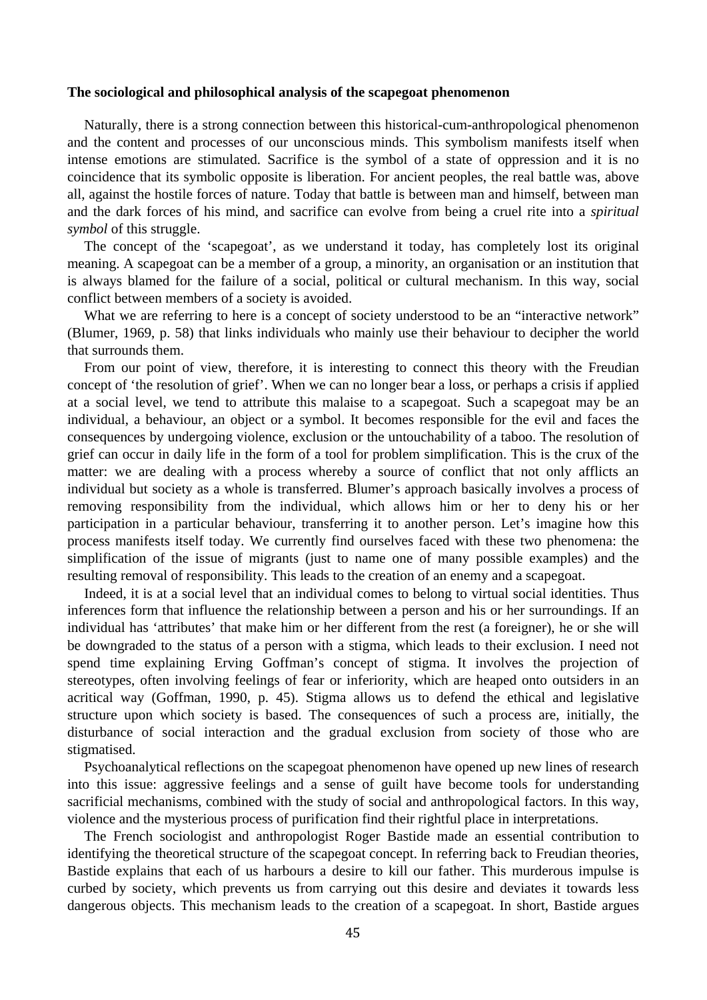## **The sociological and philosophical analysis of the scapegoat phenomenon**

Naturally, there is a strong connection between this historical-cum-anthropological phenomenon and the content and processes of our unconscious minds. This symbolism manifests itself when intense emotions are stimulated. Sacrifice is the symbol of a state of oppression and it is no coincidence that its symbolic opposite is liberation. For ancient peoples, the real battle was, above all, against the hostile forces of nature. Today that battle is between man and himself, between man and the dark forces of his mind, and sacrifice can evolve from being a cruel rite into a *spiritual symbol* of this struggle.

The concept of the 'scapegoat', as we understand it today, has completely lost its original meaning. A scapegoat can be a member of a group, a minority, an organisation or an institution that is always blamed for the failure of a social, political or cultural mechanism. In this way, social conflict between members of a society is avoided.

What we are referring to here is a concept of society understood to be an "interactive network" (Blumer, 1969, p. 58) that links individuals who mainly use their behaviour to decipher the world that surrounds them.

From our point of view, therefore, it is interesting to connect this theory with the Freudian concept of 'the resolution of grief'. When we can no longer bear a loss, or perhaps a crisis if applied at a social level, we tend to attribute this malaise to a scapegoat. Such a scapegoat may be an individual, a behaviour, an object or a symbol. It becomes responsible for the evil and faces the consequences by undergoing violence, exclusion or the untouchability of a taboo. The resolution of grief can occur in daily life in the form of a tool for problem simplification. This is the crux of the matter: we are dealing with a process whereby a source of conflict that not only afflicts an individual but society as a whole is transferred. Blumer's approach basically involves a process of removing responsibility from the individual, which allows him or her to deny his or her participation in a particular behaviour, transferring it to another person. Let's imagine how this process manifests itself today. We currently find ourselves faced with these two phenomena: the simplification of the issue of migrants (just to name one of many possible examples) and the resulting removal of responsibility. This leads to the creation of an enemy and a scapegoat.

Indeed, it is at a social level that an individual comes to belong to virtual social identities. Thus inferences form that influence the relationship between a person and his or her surroundings. If an individual has 'attributes' that make him or her different from the rest (a foreigner), he or she will be downgraded to the status of a person with a stigma, which leads to their exclusion. I need not spend time explaining Erving Goffman's concept of stigma. It involves the projection of stereotypes, often involving feelings of fear or inferiority, which are heaped onto outsiders in an acritical way (Goffman, 1990, p. 45). Stigma allows us to defend the ethical and legislative structure upon which society is based. The consequences of such a process are, initially, the disturbance of social interaction and the gradual exclusion from society of those who are stigmatised.

Psychoanalytical reflections on the scapegoat phenomenon have opened up new lines of research into this issue: aggressive feelings and a sense of guilt have become tools for understanding sacrificial mechanisms, combined with the study of social and anthropological factors. In this way, violence and the mysterious process of purification find their rightful place in interpretations.

The French sociologist and anthropologist Roger Bastide made an essential contribution to identifying the theoretical structure of the scapegoat concept. In referring back to Freudian theories, Bastide explains that each of us harbours a desire to kill our father. This murderous impulse is curbed by society, which prevents us from carrying out this desire and deviates it towards less dangerous objects. This mechanism leads to the creation of a scapegoat. In short, Bastide argues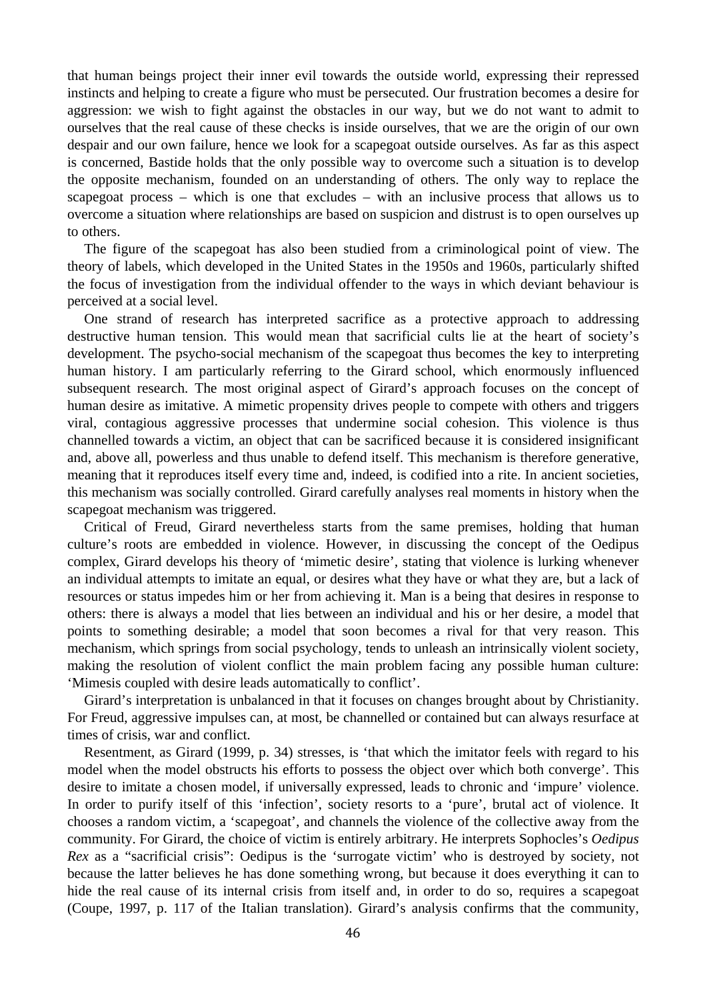that human beings project their inner evil towards the outside world, expressing their repressed instincts and helping to create a figure who must be persecuted. Our frustration becomes a desire for aggression: we wish to fight against the obstacles in our way, but we do not want to admit to ourselves that the real cause of these checks is inside ourselves, that we are the origin of our own despair and our own failure, hence we look for a scapegoat outside ourselves. As far as this aspect is concerned, Bastide holds that the only possible way to overcome such a situation is to develop the opposite mechanism, founded on an understanding of others. The only way to replace the scapegoat process – which is one that excludes – with an inclusive process that allows us to overcome a situation where relationships are based on suspicion and distrust is to open ourselves up to others.

The figure of the scapegoat has also been studied from a criminological point of view. The theory of labels, which developed in the United States in the 1950s and 1960s, particularly shifted the focus of investigation from the individual offender to the ways in which deviant behaviour is perceived at a social level.

One strand of research has interpreted sacrifice as a protective approach to addressing destructive human tension. This would mean that sacrificial cults lie at the heart of society's development. The psycho-social mechanism of the scapegoat thus becomes the key to interpreting human history. I am particularly referring to the Girard school, which enormously influenced subsequent research. The most original aspect of Girard's approach focuses on the concept of human desire as imitative. A mimetic propensity drives people to compete with others and triggers viral, contagious aggressive processes that undermine social cohesion. This violence is thus channelled towards a victim, an object that can be sacrificed because it is considered insignificant and, above all, powerless and thus unable to defend itself. This mechanism is therefore generative, meaning that it reproduces itself every time and, indeed, is codified into a rite. In ancient societies, this mechanism was socially controlled. Girard carefully analyses real moments in history when the scapegoat mechanism was triggered.

Critical of Freud, Girard nevertheless starts from the same premises, holding that human culture's roots are embedded in violence. However, in discussing the concept of the Oedipus complex, Girard develops his theory of 'mimetic desire', stating that violence is lurking whenever an individual attempts to imitate an equal, or desires what they have or what they are, but a lack of resources or status impedes him or her from achieving it. Man is a being that desires in response to others: there is always a model that lies between an individual and his or her desire, a model that points to something desirable; a model that soon becomes a rival for that very reason. This mechanism, which springs from social psychology, tends to unleash an intrinsically violent society, making the resolution of violent conflict the main problem facing any possible human culture: 'Mimesis coupled with desire leads automatically to conflict'.

Girard's interpretation is unbalanced in that it focuses on changes brought about by Christianity. For Freud, aggressive impulses can, at most, be channelled or contained but can always resurface at times of crisis, war and conflict.

Resentment, as Girard (1999, p. 34) stresses, is 'that which the imitator feels with regard to his model when the model obstructs his efforts to possess the object over which both converge'. This desire to imitate a chosen model, if universally expressed, leads to chronic and 'impure' violence. In order to purify itself of this 'infection', society resorts to a 'pure', brutal act of violence. It chooses a random victim, a 'scapegoat', and channels the violence of the collective away from the community. For Girard, the choice of victim is entirely arbitrary. He interprets Sophocles's *Oedipus Rex* as a "sacrificial crisis": Oedipus is the 'surrogate victim' who is destroyed by society, not because the latter believes he has done something wrong, but because it does everything it can to hide the real cause of its internal crisis from itself and, in order to do so, requires a scapegoat (Coupe, 1997, p. 117 of the Italian translation). Girard's analysis confirms that the community,